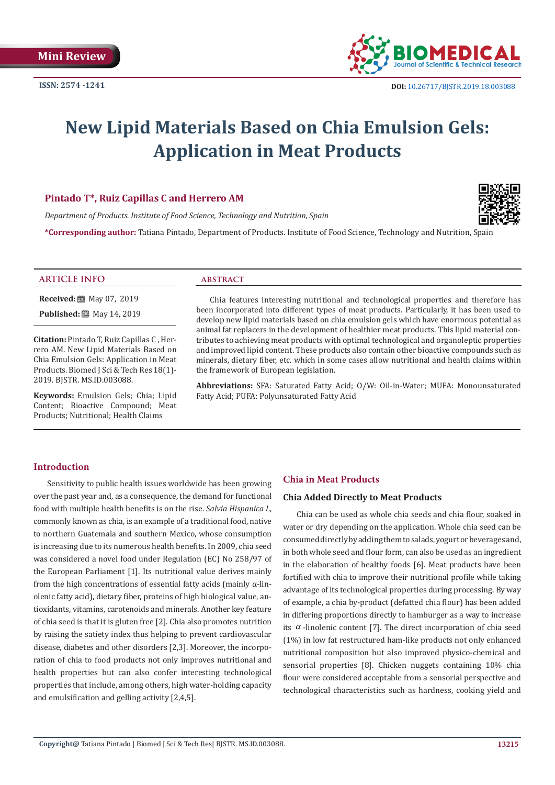

# **New Lipid Materials Based on Chia Emulsion Gels: Application in Meat Products**

# **Pintado T\*, Ruiz Capillas C and Herrero AM**

*Department of Products. Institute of Food Science, Technology and Nutrition, Spain*

**\*Corresponding author:** Tatiana Pintado, Department of Products. Institute of Food Science, Technology and Nutrition, Spain



#### **ARTICLE INFO abstract**

**Received:** ■ May 07, 2019 **Published:** 圖 May 14, 2019

**Citation:** Pintado T, Ruiz Capillas C , Herrero AM. New Lipid Materials Based on Chia Emulsion Gels: Application in Meat Products. Biomed J Sci & Tech Res 18(1)- 2019. BJSTR. MS.ID.003088.

**Keywords:** Emulsion Gels; Chia; Lipid Content; Bioactive Compound; Meat Products; Nutritional; Health Claims

Chia features interesting nutritional and technological properties and therefore has been incorporated into different types of meat products. Particularly, it has been used to develop new lipid materials based on chia emulsion gels which have enormous potential as animal fat replacers in the development of healthier meat products. This lipid material contributes to achieving meat products with optimal technological and organoleptic properties and improved lipid content. These products also contain other bioactive compounds such as minerals, dietary fiber, etc. which in some cases allow nutritional and health claims within the framework of European legislation.

**Abbreviations:** SFA: Saturated Fatty Acid; O/W: Oil-in-Water; MUFA: Monounsaturated Fatty Acid; PUFA: Polyunsaturated Fatty Acid

# **Introduction**

Sensitivity to public health issues worldwide has been growing over the past year and, as a consequence, the demand for functional food with multiple health benefits is on the rise. *Salvia Hispanica L*, commonly known as chia, is an example of a traditional food, native to northern Guatemala and southern Mexico, whose consumption is increasing due to its numerous health benefits. In 2009, chia seed was considered a novel food under Regulation (EC) No 258/97 of the European Parliament [1]. Its nutritional value derives mainly from the high concentrations of essential fatty acids (mainly  $\alpha$ -linolenic fatty acid), dietary fiber, proteins of high biological value, antioxidants, vitamins, carotenoids and minerals. Another key feature of chia seed is that it is gluten free [2]. Chia also promotes nutrition by raising the satiety index thus helping to prevent cardiovascular disease, diabetes and other disorders [2,3]. Moreover, the incorporation of chia to food products not only improves nutritional and health properties but can also confer interesting technological properties that include, among others, high water-holding capacity and emulsification and gelling activity [2,4,5].

### **Chia in Meat Products**

## **Chia Added Directly to Meat Products**

Chia can be used as whole chia seeds and chia flour, soaked in water or dry depending on the application. Whole chia seed can be consumed directly by adding them to salads, yogurt or beverages and, in both whole seed and flour form, can also be used as an ingredient in the elaboration of healthy foods [6]. Meat products have been fortified with chia to improve their nutritional profile while taking advantage of its technological properties during processing. By way of example, a chia by-product (defatted chia flour) has been added in differing proportions directly to hamburger as a way to increase its  $\alpha$ -linolenic content [7]. The direct incorporation of chia seed (1%) in low fat restructured ham-like products not only enhanced nutritional composition but also improved physico-chemical and sensorial properties [8]. Chicken nuggets containing 10% chia flour were considered acceptable from a sensorial perspective and technological characteristics such as hardness, cooking yield and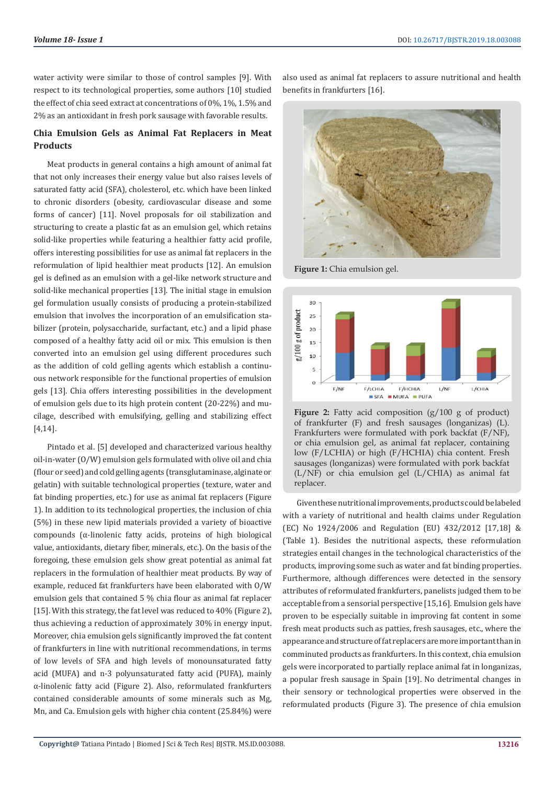water activity were similar to those of control samples [9]. With respect to its technological properties, some authors [10] studied the effect of chia seed extract at concentrations of 0%, 1%, 1.5% and 2% as an antioxidant in fresh pork sausage with favorable results.

# **Chia Emulsion Gels as Animal Fat Replacers in Meat Products**

Meat products in general contains a high amount of animal fat that not only increases their energy value but also raises levels of saturated fatty acid (SFA), cholesterol, etc. which have been linked to chronic disorders (obesity, cardiovascular disease and some forms of cancer) [11]. Novel proposals for oil stabilization and structuring to create a plastic fat as an emulsion gel, which retains solid-like properties while featuring a healthier fatty acid profile, offers interesting possibilities for use as animal fat replacers in the reformulation of lipid healthier meat products [12]. An emulsion gel is defined as an emulsion with a gel-like network structure and solid-like mechanical properties [13]. The initial stage in emulsion gel formulation usually consists of producing a protein-stabilized emulsion that involves the incorporation of an emulsification stabilizer (protein, polysaccharide, surfactant, etc.) and a lipid phase composed of a healthy fatty acid oil or mix. This emulsion is then converted into an emulsion gel using different procedures such as the addition of cold gelling agents which establish a continuous network responsible for the functional properties of emulsion gels [13]. Chia offers interesting possibilities in the development of emulsion gels due to its high protein content (20-22%) and mucilage, described with emulsifying, gelling and stabilizing effect [4,14].

Pintado et al. [5] developed and characterized various healthy oil-in-water (O/W) emulsion gels formulated with olive oil and chia (flour or seed) and cold gelling agents (transglutaminase, alginate or gelatin) with suitable technological properties (texture, water and fat binding properties, etc.) for use as animal fat replacers (Figure 1). In addition to its technological properties, the inclusion of chia (5%) in these new lipid materials provided a variety of bioactive compounds (α-linolenic fatty acids, proteins of high biological value, antioxidants, dietary fiber, minerals, etc.). On the basis of the foregoing, these emulsion gels show great potential as animal fat replacers in the formulation of healthier meat products. By way of example, reduced fat frankfurters have been elaborated with O/W emulsion gels that contained 5 % chia flour as animal fat replacer [15]. With this strategy, the fat level was reduced to 40% (Figure 2), thus achieving a reduction of approximately 30% in energy input. Moreover, chia emulsion gels significantly improved the fat content of frankfurters in line with nutritional recommendations, in terms of low levels of SFA and high levels of monounsaturated fatty acid (MUFA) and n-3 polyunsaturated fatty acid (PUFA), mainly α-linolenic fatty acid (Figure 2). Also, reformulated frankfurters contained considerable amounts of some minerals such as Mg, Mn, and Ca. Emulsion gels with higher chia content (25.84%) were

also used as animal fat replacers to assure nutritional and health benefits in frankfurters [16].



**Figure 1:** Chia emulsion gel.



Figure 2: Fatty acid composition (g/100 g of product) of frankfurter (F) and fresh sausages (longanizas) (L). Frankfurters were formulated with pork backfat (F/NF), or chia emulsion gel, as animal fat replacer, containing low (F/LCHIA) or high (F/HCHIA) chia content. Fresh sausages (longanizas) were formulated with pork backfat (L/NF) or chia emulsion gel (L/CHIA) as animal fat replacer.

Given these nutritional improvements, products could be labeled with a variety of nutritional and health claims under Regulation (EC) No 1924/2006 and Regulation (EU) 432/2012 [17,18] & (Table 1). Besides the nutritional aspects, these reformulation strategies entail changes in the technological characteristics of the products, improving some such as water and fat binding properties. Furthermore, although differences were detected in the sensory attributes of reformulated frankfurters, panelists judged them to be acceptable from a sensorial perspective [15,16]. Emulsion gels have proven to be especially suitable in improving fat content in some fresh meat products such as patties, fresh sausages, etc., where the appearance and structure of fat replacers are more important than in comminuted products as frankfurters. In this context, chia emulsion gels were incorporated to partially replace animal fat in longanizas, a popular fresh sausage in Spain [19]. No detrimental changes in their sensory or technological properties were observed in the reformulated products (Figure 3). The presence of chia emulsion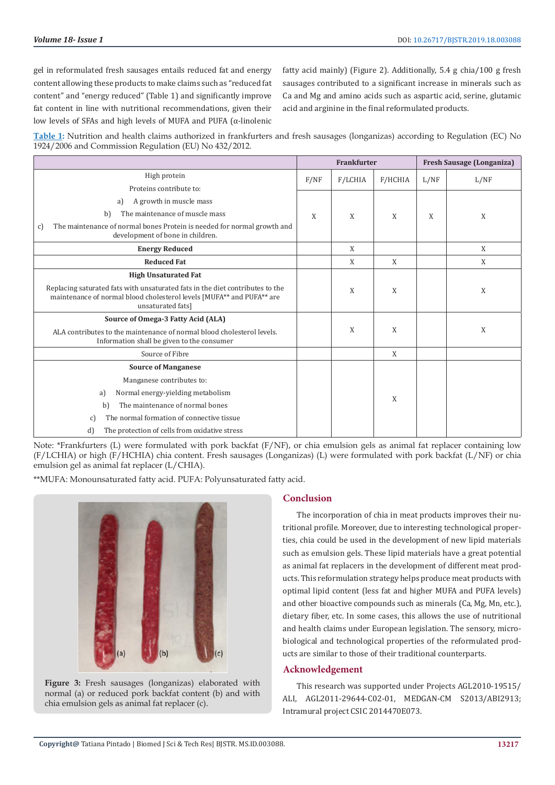gel in reformulated fresh sausages entails reduced fat and energy content allowing these products to make claims such as "reduced fat content" and "energy reduced" (Table 1) and significantly improve fat content in line with nutritional recommendations, given their low levels of SFAs and high levels of MUFA and PUFA (α-linolenic

fatty acid mainly) (Figure 2). Additionally, 5.4 g chia/100 g fresh sausages contributed to a significant increase in minerals such as Ca and Mg and amino acids such as aspartic acid, serine, glutamic acid and arginine in the final reformulated products.

**Table 1:** Nutrition and health claims authorized in frankfurters and fresh sausages (longanizas) according to Regulation (EC) No 1924/2006 and Commission Regulation (EU) No 432/2012.

|                                                                                                                                                                             | <b>Frankfurter</b> |         |         | <b>Fresh Sausage (Longaniza)</b> |      |
|-----------------------------------------------------------------------------------------------------------------------------------------------------------------------------|--------------------|---------|---------|----------------------------------|------|
| High protein                                                                                                                                                                | F/NF               | F/LCHIA | F/HCHIA | L/NF                             | L/NF |
| Proteins contribute to:                                                                                                                                                     |                    |         |         |                                  |      |
| A growth in muscle mass<br>a)                                                                                                                                               |                    |         |         |                                  |      |
| The maintenance of muscle mass<br>b)                                                                                                                                        | X                  | X       | X       | X                                | X    |
| The maintenance of normal bones Protein is needed for normal growth and<br>c)<br>development of bone in children.                                                           |                    |         |         |                                  |      |
| <b>Energy Reduced</b>                                                                                                                                                       |                    | X       |         |                                  | X    |
| <b>Reduced Fat</b>                                                                                                                                                          |                    | X       | X       |                                  | X    |
| <b>High Unsaturated Fat</b>                                                                                                                                                 |                    |         |         |                                  |      |
| Replacing saturated fats with unsaturated fats in the diet contributes to the<br>maintenance of normal blood cholesterol levels [MUFA** and PUFA** are<br>unsaturated fats] |                    | X       | X       |                                  | X    |
| Source of Omega-3 Fatty Acid (ALA)                                                                                                                                          |                    | X       | X       |                                  |      |
| ALA contributes to the maintenance of normal blood cholesterol levels.<br>Information shall be given to the consumer                                                        |                    |         |         |                                  | X    |
| Source of Fibre                                                                                                                                                             |                    |         | X       |                                  |      |
| <b>Source of Manganese</b>                                                                                                                                                  |                    |         |         |                                  |      |
| Manganese contributes to:                                                                                                                                                   |                    |         | X       |                                  |      |
| Normal energy-yielding metabolism<br>a)                                                                                                                                     |                    |         |         |                                  |      |
| The maintenance of normal bones<br>b)                                                                                                                                       |                    |         |         |                                  |      |
| The normal formation of connective tissue<br>c)                                                                                                                             |                    |         |         |                                  |      |
| d)<br>The protection of cells from oxidative stress                                                                                                                         |                    |         |         |                                  |      |

Note: \*Frankfurters (L) were formulated with pork backfat (F/NF), or chia emulsion gels as animal fat replacer containing low (F/LCHIA) or high (F/HCHIA) chia content. Fresh sausages (Longanizas) (L) were formulated with pork backfat (L/NF) or chia emulsion gel as animal fat replacer (L/CHIA).

\*\*MUFA: Monounsaturated fatty acid. PUFA: Polyunsaturated fatty acid.





### **Conclusion**

The incorporation of chia in meat products improves their nutritional profile. Moreover, due to interesting technological properties, chia could be used in the development of new lipid materials such as emulsion gels. These lipid materials have a great potential as animal fat replacers in the development of different meat products. This reformulation strategy helps produce meat products with optimal lipid content (less fat and higher MUFA and PUFA levels) and other bioactive compounds such as minerals (Ca, Mg, Mn, etc.), dietary fiber, etc. In some cases, this allows the use of nutritional and health claims under European legislation. The sensory, microbiological and technological properties of the reformulated products are similar to those of their traditional counterparts.

#### **Acknowledgement**

This research was supported under Projects AGL2010-19515/ ALI, AGL2011-29644-C02-01, MEDGAN-CM S2013/ABI2913; Intramural project CSIC 2014470E073.